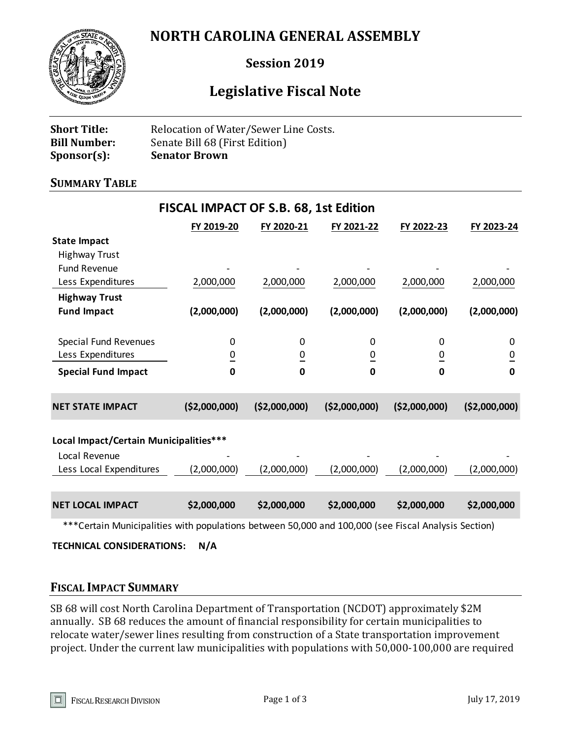## **NORTH CAROLINA GENERAL ASSEMBLY**



## **Session 2019**

# **Legislative Fiscal Note**

| <b>Short Title:</b> | Relocation of Water/Sewer Line Costs. |
|---------------------|---------------------------------------|
| <b>Bill Number:</b> | Senate Bill 68 (First Edition)        |
| $Sponsor(s)$ :      | <b>Senator Brown</b>                  |

#### **SUMMARY TABLE**

| <b>FISCAL IMPACT OF S.B. 68, 1st Edition</b> |                |                |                |                |                |  |  |
|----------------------------------------------|----------------|----------------|----------------|----------------|----------------|--|--|
|                                              | FY 2019-20     | FY 2020-21     | FY 2021-22     | FY 2022-23     | FY 2023-24     |  |  |
| <b>State Impact</b>                          |                |                |                |                |                |  |  |
| <b>Highway Trust</b>                         |                |                |                |                |                |  |  |
| <b>Fund Revenue</b>                          |                |                |                |                |                |  |  |
| Less Expenditures                            | 2,000,000      | 2,000,000      | 2,000,000      | 2,000,000      | 2,000,000      |  |  |
| <b>Highway Trust</b>                         |                |                |                |                |                |  |  |
| <b>Fund Impact</b>                           | (2,000,000)    | (2,000,000)    | (2,000,000)    | (2,000,000)    | (2,000,000)    |  |  |
|                                              |                |                |                |                |                |  |  |
| Special Fund Revenues                        | 0              | 0              | 0              | 0              | 0              |  |  |
| Less Expenditures                            | $\overline{0}$ | $\overline{0}$ | $\overline{0}$ | $\overline{0}$ | $\overline{0}$ |  |  |
| <b>Special Fund Impact</b>                   | $\mathbf 0$    | $\bf{0}$       | 0              | 0              | $\mathbf 0$    |  |  |
|                                              |                |                |                |                |                |  |  |
| <b>NET STATE IMPACT</b>                      | ( \$2,000,000) | ( \$2,000,000) | ( \$2,000,000) | ( \$2,000,000) | ( \$2,000,000) |  |  |
|                                              |                |                |                |                |                |  |  |
| Local Impact/Certain Municipalities***       |                |                |                |                |                |  |  |
| Local Revenue                                |                |                |                |                |                |  |  |
| Less Local Expenditures                      | (2,000,000)    | (2,000,000)    | (2,000,000)    | (2,000,000)    | (2,000,000)    |  |  |
|                                              |                |                |                |                |                |  |  |
| <b>NET LOCAL IMPACT</b>                      | \$2,000,000    | \$2,000,000    | \$2,000,000    | \$2,000,000    | \$2,000,000    |  |  |
|                                              |                |                |                |                |                |  |  |
|                                              |                |                |                |                |                |  |  |

\*\*\*Certain Municipalities with populations between 50,000 and 100,000 (see Fiscal Analysis Section)

**TECHNICAL CONSIDERATIONS: N/A**

#### **FISCAL IMPACT SUMMARY**

SB 68 will cost North Carolina Department of Transportation (NCDOT) approximately \$2M annually. SB 68 reduces the amount of financial responsibility for certain municipalities to relocate water/sewer lines resulting from construction of a State transportation improvement project. Under the current law municipalities with populations with 50,000-100,000 are required

n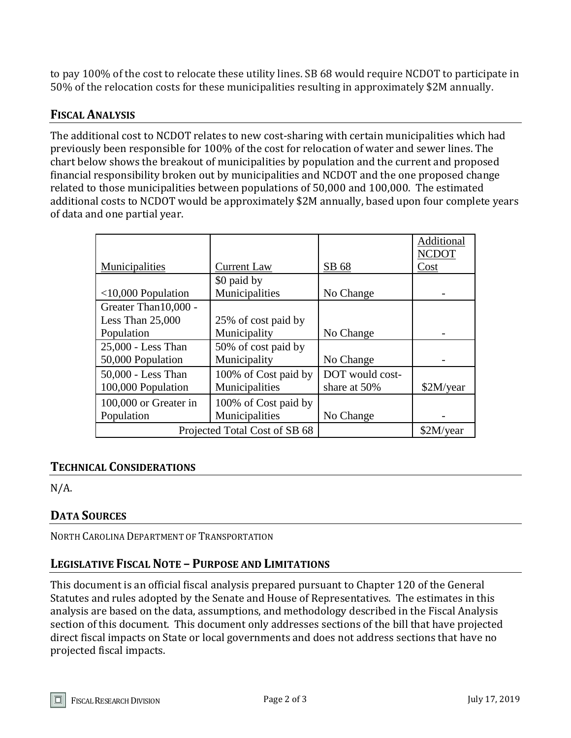to pay 100% of the cost to relocate these utility lines. SB 68 would require NCDOT to participate in 50% of the relocation costs for these municipalities resulting in approximately \$2M annually.

## **FISCAL ANALYSIS**

The additional cost to NCDOT relates to new cost-sharing with certain municipalities which had previously been responsible for 100% of the cost for relocation of water and sewer lines. The chart below shows the breakout of municipalities by population and the current and proposed financial responsibility broken out by municipalities and NCDOT and the one proposed change related to those municipalities between populations of 50,000 and 100,000. The estimated additional costs to NCDOT would be approximately \$2M annually, based upon four complete years of data and one partial year.

|                       |                               |                 | Additional<br><b>NCDOT</b> |
|-----------------------|-------------------------------|-----------------|----------------------------|
| Municipalities        | <b>Current Law</b>            | SB 68           | Cost                       |
|                       | \$0 paid by                   |                 |                            |
| $<$ 10,000 Population | Municipalities                | No Change       |                            |
| Greater Than 10,000 - |                               |                 |                            |
| Less Than 25,000      | 25% of cost paid by           |                 |                            |
| Population            | Municipality                  | No Change       |                            |
| 25,000 - Less Than    | 50% of cost paid by           |                 |                            |
| 50,000 Population     | Municipality                  | No Change       |                            |
| 50,000 - Less Than    | 100% of Cost paid by          | DOT would cost- |                            |
| 100,000 Population    | Municipalities                | share at 50%    | \$2M/year                  |
| 100,000 or Greater in | 100% of Cost paid by          |                 |                            |
| Population            | Municipalities                | No Change       |                            |
|                       | Projected Total Cost of SB 68 |                 | \$2M/year                  |

#### **TECHNICAL CONSIDERATIONS**

 $N/A$ .

## **DATA SOURCES**

NORTH CAROLINA DEPARTMENT OF TRANSPORTATION

#### **LEGISLATIVE FISCAL NOTE – PURPOSE AND LIMITATIONS**

This document is an official fiscal analysis prepared pursuant to Chapter 120 of the General Statutes and rules adopted by the Senate and House of Representatives. The estimates in this analysis are based on the data, assumptions, and methodology described in the Fiscal Analysis section of this document. This document only addresses sections of the bill that have projected direct fiscal impacts on State or local governments and does not address sections that have no projected fiscal impacts.